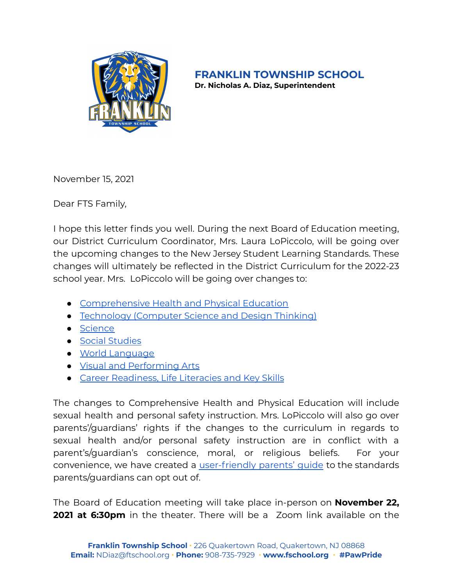

**FRANKLIN TOWNSHIP SCHOOL**

**Dr. Nicholas A. Diaz, Superintendent**

November 15, 2021

Dear FTS Family,

I hope this letter finds you well. During the next Board of Education meeting, our District Curriculum Coordinator, Mrs. Laura LoPiccolo, will be going over the upcoming changes to the New Jersey Student Learning Standards. These changes will ultimately be reflected in the District Curriculum for the 2022-23 school year. Mrs. LoPiccolo will be going over changes to:

- [Comprehensive](https://www.nj.gov/education/cccs/2020/2020%20NJSLS-CHPE.pdf) Health and Physical Education
- [Technology](https://www.nj.gov/education/cccs/2020/2020%20NJSLS-CSDT.pdf) (Computer Science and Design Thinking)
- [Science](https://www.nj.gov/education/cccs/2020/NJSLS-Science.pdf)
- Social [Studies](https://www.nj.gov/education/cccs/2020/2020%20NJSLS-SS.pdf)
- World [Language](https://www.nj.gov/education/cccs/2020/2020%20NJSLS-WL.pdf)
- Visual and [Performing](https://www.nj.gov/education/cccs/2020/2020%20NJSLS-VPA.pdf) Arts
- **Career [Readiness,](https://www.nj.gov/education/cccs/2020/2020%20NJSLS-VPA.pdf) Life Literacies and Key Skills**

The changes to Comprehensive Health and Physical Education will include sexual health and personal safety instruction. Mrs. LoPiccolo will also go over parents'/guardians' rights if the changes to the curriculum in regards to sexual health and/or personal safety instruction are in conflict with a parent's/guardian's conscience, moral, or religious beliefs. For your convenience, we have created a [user-friendly](https://docs.google.com/document/d/1Yu2MTl35vSnh7kcPTAUzo3Rk4CfE4kNQ-9e9gqsMceM/edit?usp=sharing) parents' guide to the standards parents/guardians can opt out of.

The Board of Education meeting will take place in-person on **November 22, 2021 at 6:30pm** in the theater. There will be a Zoom link available on the